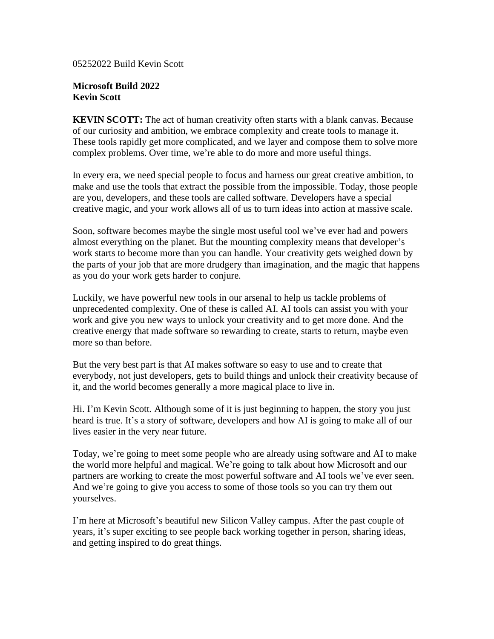05252022 Build Kevin Scott

## **Microsoft Build 2022 Kevin Scott**

**KEVIN SCOTT:** The act of human creativity often starts with a blank canvas. Because of our curiosity and ambition, we embrace complexity and create tools to manage it. These tools rapidly get more complicated, and we layer and compose them to solve more complex problems. Over time, we're able to do more and more useful things.

In every era, we need special people to focus and harness our great creative ambition, to make and use the tools that extract the possible from the impossible. Today, those people are you, developers, and these tools are called software. Developers have a special creative magic, and your work allows all of us to turn ideas into action at massive scale.

Soon, software becomes maybe the single most useful tool we've ever had and powers almost everything on the planet. But the mounting complexity means that developer's work starts to become more than you can handle. Your creativity gets weighed down by the parts of your job that are more drudgery than imagination, and the magic that happens as you do your work gets harder to conjure.

Luckily, we have powerful new tools in our arsenal to help us tackle problems of unprecedented complexity. One of these is called AI. AI tools can assist you with your work and give you new ways to unlock your creativity and to get more done. And the creative energy that made software so rewarding to create, starts to return, maybe even more so than before.

But the very best part is that AI makes software so easy to use and to create that everybody, not just developers, gets to build things and unlock their creativity because of it, and the world becomes generally a more magical place to live in.

Hi. I'm Kevin Scott. Although some of it is just beginning to happen, the story you just heard is true. It's a story of software, developers and how AI is going to make all of our lives easier in the very near future.

Today, we're going to meet some people who are already using software and AI to make the world more helpful and magical. We're going to talk about how Microsoft and our partners are working to create the most powerful software and AI tools we've ever seen. And we're going to give you access to some of those tools so you can try them out yourselves.

I'm here at Microsoft's beautiful new Silicon Valley campus. After the past couple of years, it's super exciting to see people back working together in person, sharing ideas, and getting inspired to do great things.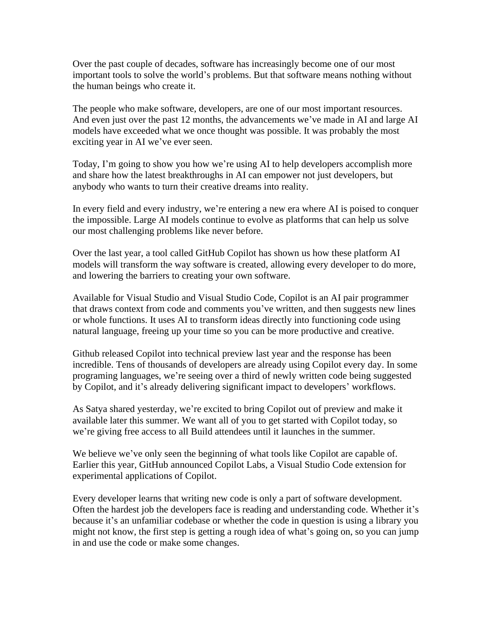Over the past couple of decades, software has increasingly become one of our most important tools to solve the world's problems. But that software means nothing without the human beings who create it.

The people who make software, developers, are one of our most important resources. And even just over the past 12 months, the advancements we've made in AI and large AI models have exceeded what we once thought was possible. It was probably the most exciting year in AI we've ever seen.

Today, I'm going to show you how we're using AI to help developers accomplish more and share how the latest breakthroughs in AI can empower not just developers, but anybody who wants to turn their creative dreams into reality.

In every field and every industry, we're entering a new era where AI is poised to conquer the impossible. Large AI models continue to evolve as platforms that can help us solve our most challenging problems like never before.

Over the last year, a tool called GitHub Copilot has shown us how these platform AI models will transform the way software is created, allowing every developer to do more, and lowering the barriers to creating your own software.

Available for Visual Studio and Visual Studio Code, Copilot is an AI pair programmer that draws context from code and comments you've written, and then suggests new lines or whole functions. It uses AI to transform ideas directly into functioning code using natural language, freeing up your time so you can be more productive and creative.

Github released Copilot into technical preview last year and the response has been incredible. Tens of thousands of developers are already using Copilot every day. In some programing languages, we're seeing over a third of newly written code being suggested by Copilot, and it's already delivering significant impact to developers' workflows.

As Satya shared yesterday, we're excited to bring Copilot out of preview and make it available later this summer. We want all of you to get started with Copilot today, so we're giving free access to all Build attendees until it launches in the summer.

We believe we've only seen the beginning of what tools like Copilot are capable of. Earlier this year, GitHub announced Copilot Labs, a Visual Studio Code extension for experimental applications of Copilot.

Every developer learns that writing new code is only a part of software development. Often the hardest job the developers face is reading and understanding code. Whether it's because it's an unfamiliar codebase or whether the code in question is using a library you might not know, the first step is getting a rough idea of what's going on, so you can jump in and use the code or make some changes.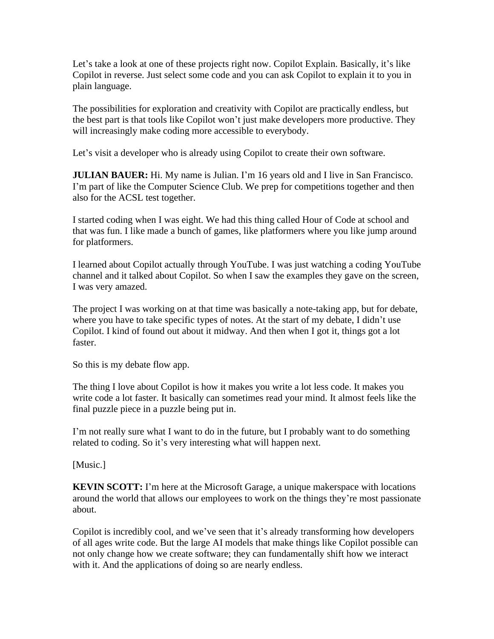Let's take a look at one of these projects right now. Copilot Explain. Basically, it's like Copilot in reverse. Just select some code and you can ask Copilot to explain it to you in plain language.

The possibilities for exploration and creativity with Copilot are practically endless, but the best part is that tools like Copilot won't just make developers more productive. They will increasingly make coding more accessible to everybody.

Let's visit a developer who is already using Copilot to create their own software.

**JULIAN BAUER:** Hi. My name is Julian. I'm 16 years old and I live in San Francisco. I'm part of like the Computer Science Club. We prep for competitions together and then also for the ACSL test together.

I started coding when I was eight. We had this thing called Hour of Code at school and that was fun. I like made a bunch of games, like platformers where you like jump around for platformers.

I learned about Copilot actually through YouTube. I was just watching a coding YouTube channel and it talked about Copilot. So when I saw the examples they gave on the screen, I was very amazed.

The project I was working on at that time was basically a note-taking app, but for debate, where you have to take specific types of notes. At the start of my debate, I didn't use Copilot. I kind of found out about it midway. And then when I got it, things got a lot faster.

So this is my debate flow app.

The thing I love about Copilot is how it makes you write a lot less code. It makes you write code a lot faster. It basically can sometimes read your mind. It almost feels like the final puzzle piece in a puzzle being put in.

I'm not really sure what I want to do in the future, but I probably want to do something related to coding. So it's very interesting what will happen next.

[Music.]

**KEVIN SCOTT:** I'm here at the Microsoft Garage, a unique makerspace with locations around the world that allows our employees to work on the things they're most passionate about.

Copilot is incredibly cool, and we've seen that it's already transforming how developers of all ages write code. But the large AI models that make things like Copilot possible can not only change how we create software; they can fundamentally shift how we interact with it. And the applications of doing so are nearly endless.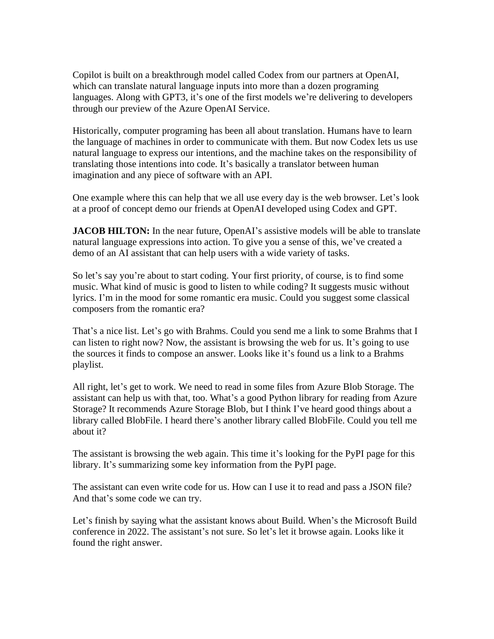Copilot is built on a breakthrough model called Codex from our partners at OpenAI, which can translate natural language inputs into more than a dozen programing languages. Along with GPT3, it's one of the first models we're delivering to developers through our preview of the Azure OpenAI Service.

Historically, computer programing has been all about translation. Humans have to learn the language of machines in order to communicate with them. But now Codex lets us use natural language to express our intentions, and the machine takes on the responsibility of translating those intentions into code. It's basically a translator between human imagination and any piece of software with an API.

One example where this can help that we all use every day is the web browser. Let's look at a proof of concept demo our friends at OpenAI developed using Codex and GPT.

**JACOB HILTON:** In the near future, OpenAI's assistive models will be able to translate natural language expressions into action. To give you a sense of this, we've created a demo of an AI assistant that can help users with a wide variety of tasks.

So let's say you're about to start coding. Your first priority, of course, is to find some music. What kind of music is good to listen to while coding? It suggests music without lyrics. I'm in the mood for some romantic era music. Could you suggest some classical composers from the romantic era?

That's a nice list. Let's go with Brahms. Could you send me a link to some Brahms that I can listen to right now? Now, the assistant is browsing the web for us. It's going to use the sources it finds to compose an answer. Looks like it's found us a link to a Brahms playlist.

All right, let's get to work. We need to read in some files from Azure Blob Storage. The assistant can help us with that, too. What's a good Python library for reading from Azure Storage? It recommends Azure Storage Blob, but I think I've heard good things about a library called BlobFile. I heard there's another library called BlobFile. Could you tell me about it?

The assistant is browsing the web again. This time it's looking for the PyPI page for this library. It's summarizing some key information from the PyPI page.

The assistant can even write code for us. How can I use it to read and pass a JSON file? And that's some code we can try.

Let's finish by saying what the assistant knows about Build. When's the Microsoft Build conference in 2022. The assistant's not sure. So let's let it browse again. Looks like it found the right answer.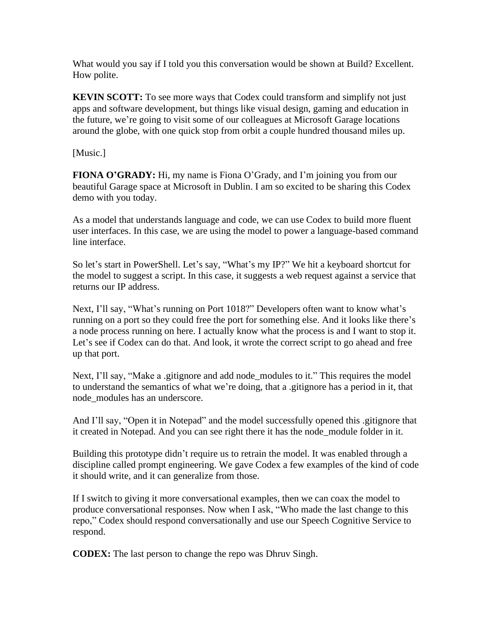What would you say if I told you this conversation would be shown at Build? Excellent. How polite.

**KEVIN SCOTT:** To see more ways that Codex could transform and simplify not just apps and software development, but things like visual design, gaming and education in the future, we're going to visit some of our colleagues at Microsoft Garage locations around the globe, with one quick stop from orbit a couple hundred thousand miles up.

[Music.]

**FIONA O'GRADY:** Hi, my name is Fiona O'Grady, and I'm joining you from our beautiful Garage space at Microsoft in Dublin. I am so excited to be sharing this Codex demo with you today.

As a model that understands language and code, we can use Codex to build more fluent user interfaces. In this case, we are using the model to power a language-based command line interface.

So let's start in PowerShell. Let's say, "What's my IP?" We hit a keyboard shortcut for the model to suggest a script. In this case, it suggests a web request against a service that returns our IP address.

Next, I'll say, "What's running on Port 1018?" Developers often want to know what's running on a port so they could free the port for something else. And it looks like there's a node process running on here. I actually know what the process is and I want to stop it. Let's see if Codex can do that. And look, it wrote the correct script to go ahead and free up that port.

Next, I'll say, "Make a .gitignore and add node\_modules to it." This requires the model to understand the semantics of what we're doing, that a .gitignore has a period in it, that node\_modules has an underscore.

And I'll say, "Open it in Notepad" and the model successfully opened this .gitignore that it created in Notepad. And you can see right there it has the node\_module folder in it.

Building this prototype didn't require us to retrain the model. It was enabled through a discipline called prompt engineering. We gave Codex a few examples of the kind of code it should write, and it can generalize from those.

If I switch to giving it more conversational examples, then we can coax the model to produce conversational responses. Now when I ask, "Who made the last change to this repo," Codex should respond conversationally and use our Speech Cognitive Service to respond.

**CODEX:** The last person to change the repo was Dhruv Singh.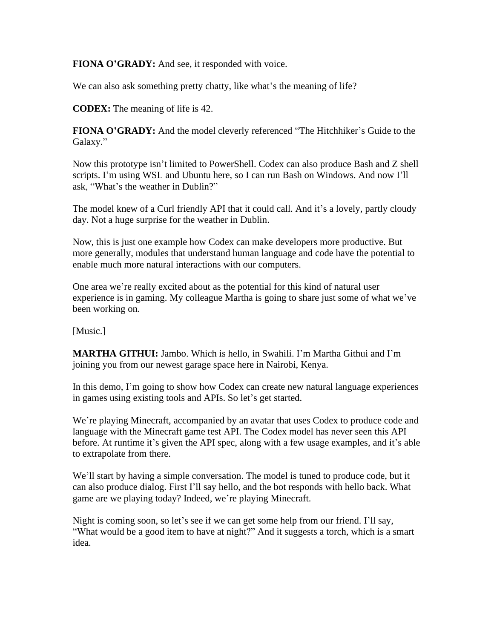**FIONA O'GRADY:** And see, it responded with voice.

We can also ask something pretty chatty, like what's the meaning of life?

**CODEX:** The meaning of life is 42.

**FIONA O'GRADY:** And the model cleverly referenced "The Hitchhiker's Guide to the Galaxy."

Now this prototype isn't limited to PowerShell. Codex can also produce Bash and Z shell scripts. I'm using WSL and Ubuntu here, so I can run Bash on Windows. And now I'll ask, "What's the weather in Dublin?"

The model knew of a Curl friendly API that it could call. And it's a lovely, partly cloudy day. Not a huge surprise for the weather in Dublin.

Now, this is just one example how Codex can make developers more productive. But more generally, modules that understand human language and code have the potential to enable much more natural interactions with our computers.

One area we're really excited about as the potential for this kind of natural user experience is in gaming. My colleague Martha is going to share just some of what we've been working on.

[Music.]

**MARTHA GITHUI:** Jambo. Which is hello, in Swahili. I'm Martha Githui and I'm joining you from our newest garage space here in Nairobi, Kenya.

In this demo, I'm going to show how Codex can create new natural language experiences in games using existing tools and APIs. So let's get started.

We're playing Minecraft, accompanied by an avatar that uses Codex to produce code and language with the Minecraft game test API. The Codex model has never seen this API before. At runtime it's given the API spec, along with a few usage examples, and it's able to extrapolate from there.

We'll start by having a simple conversation. The model is tuned to produce code, but it can also produce dialog. First I'll say hello, and the bot responds with hello back. What game are we playing today? Indeed, we're playing Minecraft.

Night is coming soon, so let's see if we can get some help from our friend. I'll say, "What would be a good item to have at night?" And it suggests a torch, which is a smart idea.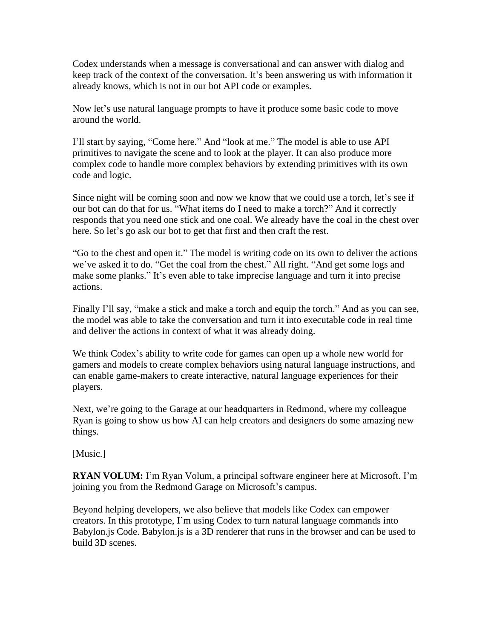Codex understands when a message is conversational and can answer with dialog and keep track of the context of the conversation. It's been answering us with information it already knows, which is not in our bot API code or examples.

Now let's use natural language prompts to have it produce some basic code to move around the world.

I'll start by saying, "Come here." And "look at me." The model is able to use API primitives to navigate the scene and to look at the player. It can also produce more complex code to handle more complex behaviors by extending primitives with its own code and logic.

Since night will be coming soon and now we know that we could use a torch, let's see if our bot can do that for us. "What items do I need to make a torch?" And it correctly responds that you need one stick and one coal. We already have the coal in the chest over here. So let's go ask our bot to get that first and then craft the rest.

"Go to the chest and open it." The model is writing code on its own to deliver the actions we've asked it to do. "Get the coal from the chest." All right. "And get some logs and make some planks." It's even able to take imprecise language and turn it into precise actions.

Finally I'll say, "make a stick and make a torch and equip the torch." And as you can see, the model was able to take the conversation and turn it into executable code in real time and deliver the actions in context of what it was already doing.

We think Codex's ability to write code for games can open up a whole new world for gamers and models to create complex behaviors using natural language instructions, and can enable game-makers to create interactive, natural language experiences for their players.

Next, we're going to the Garage at our headquarters in Redmond, where my colleague Ryan is going to show us how AI can help creators and designers do some amazing new things.

[Music.]

**RYAN VOLUM:** I'm Ryan Volum, a principal software engineer here at Microsoft. I'm joining you from the Redmond Garage on Microsoft's campus.

Beyond helping developers, we also believe that models like Codex can empower creators. In this prototype, I'm using Codex to turn natural language commands into Babylon.js Code. Babylon.js is a 3D renderer that runs in the browser and can be used to build 3D scenes.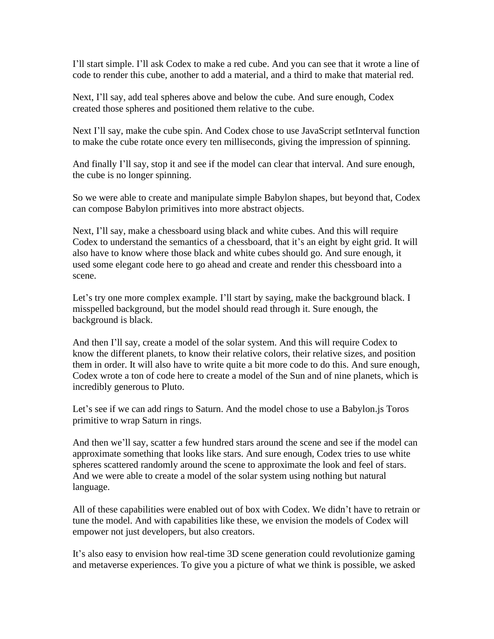I'll start simple. I'll ask Codex to make a red cube. And you can see that it wrote a line of code to render this cube, another to add a material, and a third to make that material red.

Next, I'll say, add teal spheres above and below the cube. And sure enough, Codex created those spheres and positioned them relative to the cube.

Next I'll say, make the cube spin. And Codex chose to use JavaScript setInterval function to make the cube rotate once every ten milliseconds, giving the impression of spinning.

And finally I'll say, stop it and see if the model can clear that interval. And sure enough, the cube is no longer spinning.

So we were able to create and manipulate simple Babylon shapes, but beyond that, Codex can compose Babylon primitives into more abstract objects.

Next, I'll say, make a chessboard using black and white cubes. And this will require Codex to understand the semantics of a chessboard, that it's an eight by eight grid. It will also have to know where those black and white cubes should go. And sure enough, it used some elegant code here to go ahead and create and render this chessboard into a scene.

Let's try one more complex example. I'll start by saying, make the background black. I misspelled background, but the model should read through it. Sure enough, the background is black.

And then I'll say, create a model of the solar system. And this will require Codex to know the different planets, to know their relative colors, their relative sizes, and position them in order. It will also have to write quite a bit more code to do this. And sure enough, Codex wrote a ton of code here to create a model of the Sun and of nine planets, which is incredibly generous to Pluto.

Let's see if we can add rings to Saturn. And the model chose to use a Babylon.js Toros primitive to wrap Saturn in rings.

And then we'll say, scatter a few hundred stars around the scene and see if the model can approximate something that looks like stars. And sure enough, Codex tries to use white spheres scattered randomly around the scene to approximate the look and feel of stars. And we were able to create a model of the solar system using nothing but natural language.

All of these capabilities were enabled out of box with Codex. We didn't have to retrain or tune the model. And with capabilities like these, we envision the models of Codex will empower not just developers, but also creators.

It's also easy to envision how real-time 3D scene generation could revolutionize gaming and metaverse experiences. To give you a picture of what we think is possible, we asked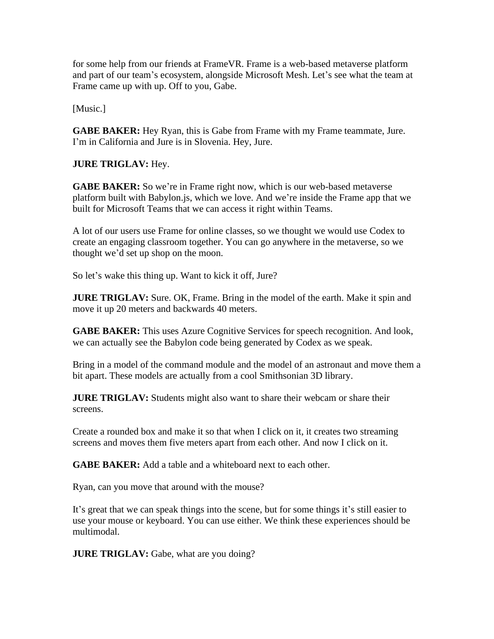for some help from our friends at FrameVR. Frame is a web-based metaverse platform and part of our team's ecosystem, alongside Microsoft Mesh. Let's see what the team at Frame came up with up. Off to you, Gabe.

[Music.]

**GABE BAKER:** Hey Ryan, this is Gabe from Frame with my Frame teammate, Jure. I'm in California and Jure is in Slovenia. Hey, Jure.

**JURE TRIGLAV:** Hey.

**GABE BAKER:** So we're in Frame right now, which is our web-based metaverse platform built with Babylon.js, which we love. And we're inside the Frame app that we built for Microsoft Teams that we can access it right within Teams.

A lot of our users use Frame for online classes, so we thought we would use Codex to create an engaging classroom together. You can go anywhere in the metaverse, so we thought we'd set up shop on the moon.

So let's wake this thing up. Want to kick it off, Jure?

**JURE TRIGLAV:** Sure. OK, Frame. Bring in the model of the earth. Make it spin and move it up 20 meters and backwards 40 meters.

**GABE BAKER:** This uses Azure Cognitive Services for speech recognition. And look, we can actually see the Babylon code being generated by Codex as we speak.

Bring in a model of the command module and the model of an astronaut and move them a bit apart. These models are actually from a cool Smithsonian 3D library.

**JURE TRIGLAV:** Students might also want to share their webcam or share their screens.

Create a rounded box and make it so that when I click on it, it creates two streaming screens and moves them five meters apart from each other. And now I click on it.

**GABE BAKER:** Add a table and a whiteboard next to each other.

Ryan, can you move that around with the mouse?

It's great that we can speak things into the scene, but for some things it's still easier to use your mouse or keyboard. You can use either. We think these experiences should be multimodal.

**JURE TRIGLAV:** Gabe, what are you doing?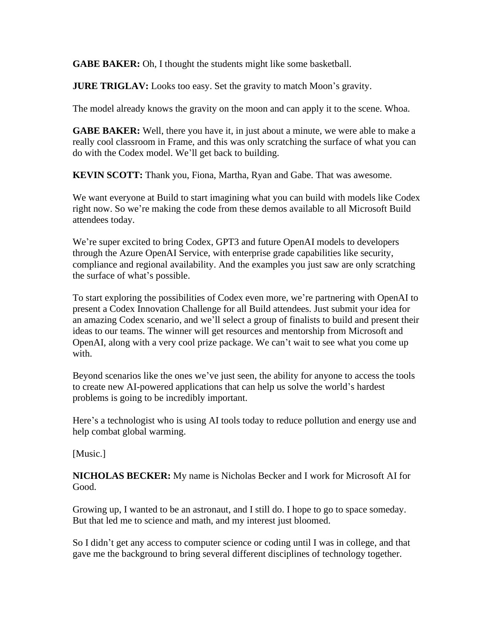**GABE BAKER:** Oh, I thought the students might like some basketball.

**JURE TRIGLAV:** Looks too easy. Set the gravity to match Moon's gravity.

The model already knows the gravity on the moon and can apply it to the scene. Whoa.

**GABE BAKER:** Well, there you have it, in just about a minute, we were able to make a really cool classroom in Frame, and this was only scratching the surface of what you can do with the Codex model. We'll get back to building.

**KEVIN SCOTT:** Thank you, Fiona, Martha, Ryan and Gabe. That was awesome.

We want everyone at Build to start imagining what you can build with models like Codex right now. So we're making the code from these demos available to all Microsoft Build attendees today.

We're super excited to bring Codex, GPT3 and future OpenAI models to developers through the Azure OpenAI Service, with enterprise grade capabilities like security, compliance and regional availability. And the examples you just saw are only scratching the surface of what's possible.

To start exploring the possibilities of Codex even more, we're partnering with OpenAI to present a Codex Innovation Challenge for all Build attendees. Just submit your idea for an amazing Codex scenario, and we'll select a group of finalists to build and present their ideas to our teams. The winner will get resources and mentorship from Microsoft and OpenAI, along with a very cool prize package. We can't wait to see what you come up with.

Beyond scenarios like the ones we've just seen, the ability for anyone to access the tools to create new AI-powered applications that can help us solve the world's hardest problems is going to be incredibly important.

Here's a technologist who is using AI tools today to reduce pollution and energy use and help combat global warming.

[Music.]

**NICHOLAS BECKER:** My name is Nicholas Becker and I work for Microsoft AI for Good.

Growing up, I wanted to be an astronaut, and I still do. I hope to go to space someday. But that led me to science and math, and my interest just bloomed.

So I didn't get any access to computer science or coding until I was in college, and that gave me the background to bring several different disciplines of technology together.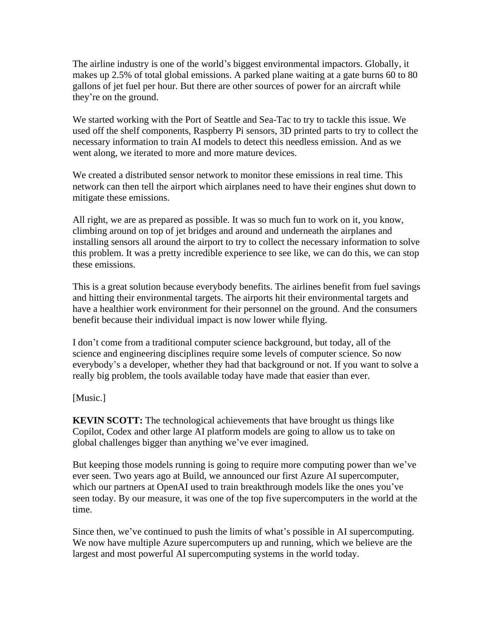The airline industry is one of the world's biggest environmental impactors. Globally, it makes up 2.5% of total global emissions. A parked plane waiting at a gate burns 60 to 80 gallons of jet fuel per hour. But there are other sources of power for an aircraft while they're on the ground.

We started working with the Port of Seattle and Sea-Tac to try to tackle this issue. We used off the shelf components, Raspberry Pi sensors, 3D printed parts to try to collect the necessary information to train AI models to detect this needless emission. And as we went along, we iterated to more and more mature devices.

We created a distributed sensor network to monitor these emissions in real time. This network can then tell the airport which airplanes need to have their engines shut down to mitigate these emissions.

All right, we are as prepared as possible. It was so much fun to work on it, you know, climbing around on top of jet bridges and around and underneath the airplanes and installing sensors all around the airport to try to collect the necessary information to solve this problem. It was a pretty incredible experience to see like, we can do this, we can stop these emissions.

This is a great solution because everybody benefits. The airlines benefit from fuel savings and hitting their environmental targets. The airports hit their environmental targets and have a healthier work environment for their personnel on the ground. And the consumers benefit because their individual impact is now lower while flying.

I don't come from a traditional computer science background, but today, all of the science and engineering disciplines require some levels of computer science. So now everybody's a developer, whether they had that background or not. If you want to solve a really big problem, the tools available today have made that easier than ever.

[Music.]

**KEVIN SCOTT:** The technological achievements that have brought us things like Copilot, Codex and other large AI platform models are going to allow us to take on global challenges bigger than anything we've ever imagined.

But keeping those models running is going to require more computing power than we've ever seen. Two years ago at Build, we announced our first Azure AI supercomputer, which our partners at OpenAI used to train breakthrough models like the ones you've seen today. By our measure, it was one of the top five supercomputers in the world at the time.

Since then, we've continued to push the limits of what's possible in AI supercomputing. We now have multiple Azure supercomputers up and running, which we believe are the largest and most powerful AI supercomputing systems in the world today.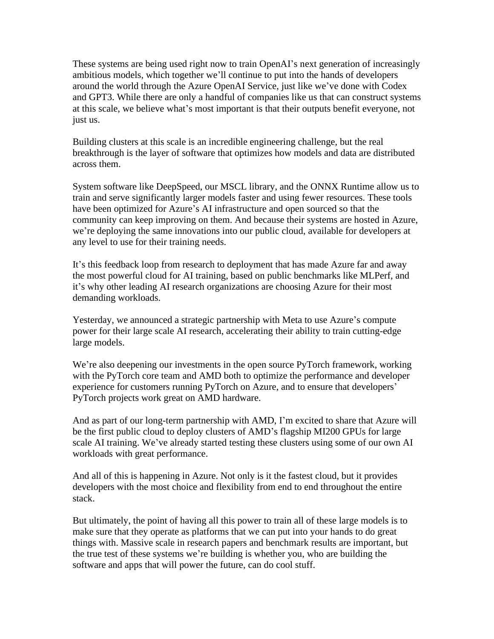These systems are being used right now to train OpenAI's next generation of increasingly ambitious models, which together we'll continue to put into the hands of developers around the world through the Azure OpenAI Service, just like we've done with Codex and GPT3. While there are only a handful of companies like us that can construct systems at this scale, we believe what's most important is that their outputs benefit everyone, not just us.

Building clusters at this scale is an incredible engineering challenge, but the real breakthrough is the layer of software that optimizes how models and data are distributed across them.

System software like DeepSpeed, our MSCL library, and the ONNX Runtime allow us to train and serve significantly larger models faster and using fewer resources. These tools have been optimized for Azure's AI infrastructure and open sourced so that the community can keep improving on them. And because their systems are hosted in Azure, we're deploying the same innovations into our public cloud, available for developers at any level to use for their training needs.

It's this feedback loop from research to deployment that has made Azure far and away the most powerful cloud for AI training, based on public benchmarks like MLPerf, and it's why other leading AI research organizations are choosing Azure for their most demanding workloads.

Yesterday, we announced a strategic partnership with Meta to use Azure's compute power for their large scale AI research, accelerating their ability to train cutting-edge large models.

We're also deepening our investments in the open source PyTorch framework, working with the PyTorch core team and AMD both to optimize the performance and developer experience for customers running PyTorch on Azure, and to ensure that developers' PyTorch projects work great on AMD hardware.

And as part of our long-term partnership with AMD, I'm excited to share that Azure will be the first public cloud to deploy clusters of AMD's flagship MI200 GPUs for large scale AI training. We've already started testing these clusters using some of our own AI workloads with great performance.

And all of this is happening in Azure. Not only is it the fastest cloud, but it provides developers with the most choice and flexibility from end to end throughout the entire stack.

But ultimately, the point of having all this power to train all of these large models is to make sure that they operate as platforms that we can put into your hands to do great things with. Massive scale in research papers and benchmark results are important, but the true test of these systems we're building is whether you, who are building the software and apps that will power the future, can do cool stuff.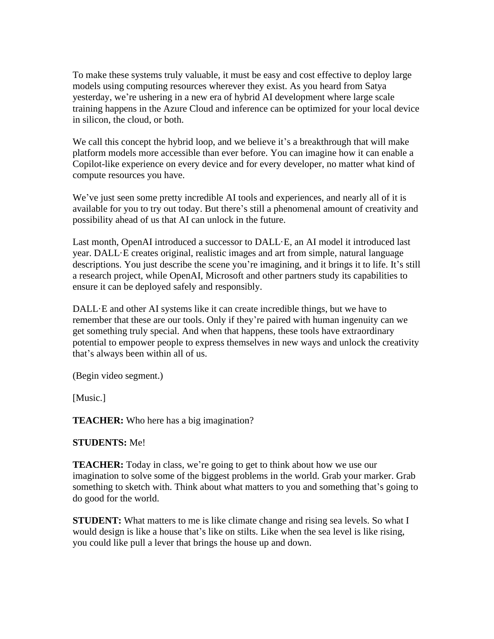To make these systems truly valuable, it must be easy and cost effective to deploy large models using computing resources wherever they exist. As you heard from Satya yesterday, we're ushering in a new era of hybrid AI development where large scale training happens in the Azure Cloud and inference can be optimized for your local device in silicon, the cloud, or both.

We call this concept the hybrid loop, and we believe it's a breakthrough that will make platform models more accessible than ever before. You can imagine how it can enable a Copilot-like experience on every device and for every developer, no matter what kind of compute resources you have.

We've just seen some pretty incredible AI tools and experiences, and nearly all of it is available for you to try out today. But there's still a phenomenal amount of creativity and possibility ahead of us that AI can unlock in the future.

Last month, OpenAI introduced a successor to DALL·E, an AI model it introduced last year. DALL·E creates original, realistic images and art from simple, natural language descriptions. You just describe the scene you're imagining, and it brings it to life. It's still a research project, while OpenAI, Microsoft and other partners study its capabilities to ensure it can be deployed safely and responsibly.

DALL·E and other AI systems like it can create incredible things, but we have to remember that these are our tools. Only if they're paired with human ingenuity can we get something truly special. And when that happens, these tools have extraordinary potential to empower people to express themselves in new ways and unlock the creativity that's always been within all of us.

(Begin video segment.)

[Music.]

**TEACHER:** Who here has a big imagination?

## **STUDENTS:** Me!

**TEACHER:** Today in class, we're going to get to think about how we use our imagination to solve some of the biggest problems in the world. Grab your marker. Grab something to sketch with. Think about what matters to you and something that's going to do good for the world.

**STUDENT:** What matters to me is like climate change and rising sea levels. So what I would design is like a house that's like on stilts. Like when the sea level is like rising, you could like pull a lever that brings the house up and down.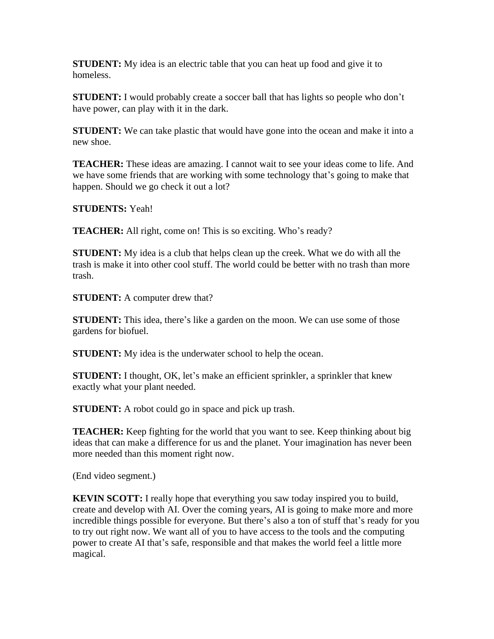**STUDENT:** My idea is an electric table that you can heat up food and give it to homeless.

**STUDENT:** I would probably create a soccer ball that has lights so people who don't have power, can play with it in the dark.

**STUDENT:** We can take plastic that would have gone into the ocean and make it into a new shoe.

**TEACHER:** These ideas are amazing. I cannot wait to see your ideas come to life. And we have some friends that are working with some technology that's going to make that happen. Should we go check it out a lot?

**STUDENTS:** Yeah!

**TEACHER:** All right, come on! This is so exciting. Who's ready?

**STUDENT:** My idea is a club that helps clean up the creek. What we do with all the trash is make it into other cool stuff. The world could be better with no trash than more trash.

**STUDENT:** A computer drew that?

**STUDENT:** This idea, there's like a garden on the moon. We can use some of those gardens for biofuel.

**STUDENT:** My idea is the underwater school to help the ocean.

**STUDENT:** I thought, OK, let's make an efficient sprinkler, a sprinkler that knew exactly what your plant needed.

**STUDENT:** A robot could go in space and pick up trash.

**TEACHER:** Keep fighting for the world that you want to see. Keep thinking about big ideas that can make a difference for us and the planet. Your imagination has never been more needed than this moment right now.

(End video segment.)

**KEVIN SCOTT:** I really hope that everything you saw today inspired you to build, create and develop with AI. Over the coming years, AI is going to make more and more incredible things possible for everyone. But there's also a ton of stuff that's ready for you to try out right now. We want all of you to have access to the tools and the computing power to create AI that's safe, responsible and that makes the world feel a little more magical.